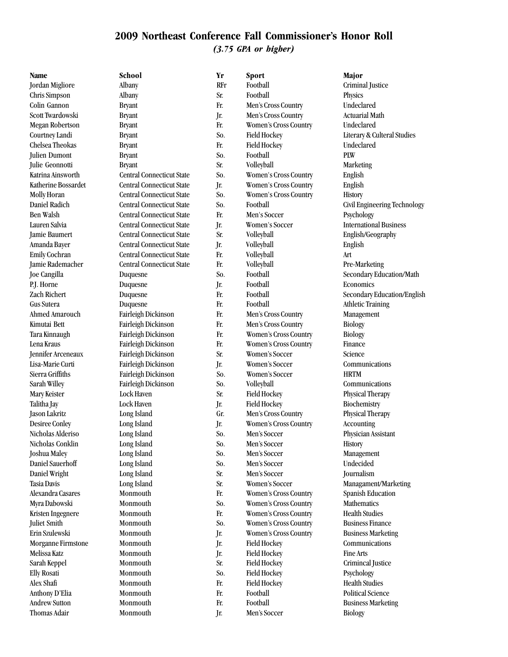Thomas Adair Monmouth Jr. Men's Soccer Biology

**Name School Yr Sport Major** Jordan Migliore Albany RFr Football Criminal Justice Chris Simpson Albany Sr. Football Physics Colin Gannon Bryant Fr. Men's Cross Country Undeclared Scott Twardowski Bryant Jr. Men's Cross Country Actuarial Math Megan Robertson Bryant Fr. Women's Cross Country Undeclared Courtney Landi Bryant Bryant So. Field Hockey Literary & Culteral Studies Chelsea Theokas Bryant Fr. Field Hockey Undeclared Julien Dumont Bryant So. Football PLW Julie Geonnotti Bryant Sr. Volleyball Marketing Katrina Ainsworth Central Connecticut State So. Women's Cross Country English Katherine Bossardet Central Connecticut State Jr. Women's Cross Country English Molly Horan Central Connecticut State So. Women's Cross Country History Daniel Radich Central Connecticut State So. Football Civil Engineering Technology Ben Walsh Central Connecticut State Fr. Men's Soccer Psychology Lauren Salvia Central Connecticut State Jr. Women's Soccer International Business Jamie Baumert Central Connecticut State Sr. Volleyball English/Geography Amanda Bayer Central Connecticut State Jr. Volleyball English Emily Cochran Central Connecticut State Fr. Volleyball Art Jamie Rademacher Central Connecticut State Fr. Volleyball Pre-Marketing Joe Cangilla Duquesne So. Football Secondary Education/Math P.J. Horne Duquesne Jr. Football Economics Zach Richert Duquesne Fr. Football Secondary Education/English Gus Sutera Duquesne Fr. Football Athletic Training Ahmed Amarouch Fairleigh Dickinson Fr. Men's Cross Country Management Kimutai Bett Fairleigh Dickinson Fr. Men's Cross Country Biology Tara Kinnaugh Fairleigh Dickinson Fr. Women's Cross Country Biology Lena Kraus Fairleigh Dickinson Fr. Women's Cross Country Finance Jennifer Arceneaux Fairleigh Dickinson Sr. Women's Soccer Science Lisa-Marie Curti Fairleigh Dickinson Jr. Women's Soccer Communications Sierra Griffiths Fairleigh Dickinson So. Women's Soccer HRTM Sarah Willey Fairleigh Dickinson So. Volleyball Communications Mary Keister Lock Haven Sr. Field Hockey Physical Therapy Talitha Jay Lock Haven Jr. Field Hockey Biochemistry Jason Lakritz Long Island Gr. Men's Cross Country Physical Therapy Desiree Conley Long Island Jr. Women's Cross Country Accounting Nicholas Alderiso Long Island So. Men's Soccer Physician Assistant Nicholas Conklin Long Island So. Men's Soccer History Joshua Maley Long Island So. Men's Soccer Management Daniel Sauerhoff Long Island So. Men's Soccer Undecided Daniel Wright Long Island Sr. Men's Soccer Journalism Tasia Davis Long Island Sr. Women's Soccer Managament/Marketing Alexandra Casares Monmouth Fr. Women's Cross Country Spanish Education Myra Dabowski Monmouth So. Women's Cross Country Mathematics Kristen Ingegnere Monmouth Fr. Women's Cross Country Health Studies Juliet Smith Monmouth So. Women's Cross Country Business Finance Erin Szulewski Monmouth Jr. Women's Cross Country Business Marketing Morganne Firmstone Monmouth Jr. Field Hockey Communications Melissa Katz Monmouth Jr. Field Hockey Fine Arts Sarah Keppel Monmouth Sr. Field Hockey Crimincal Justice Elly Rosati Monmouth So. Field Hockey Psychology Alex Shafi Monmouth Fr. Field Hockey Health Studies Anthony D'Elia Monmouth Fr. Football Political Science Andrew Sutton Monmouth Fr. Football Business Marketing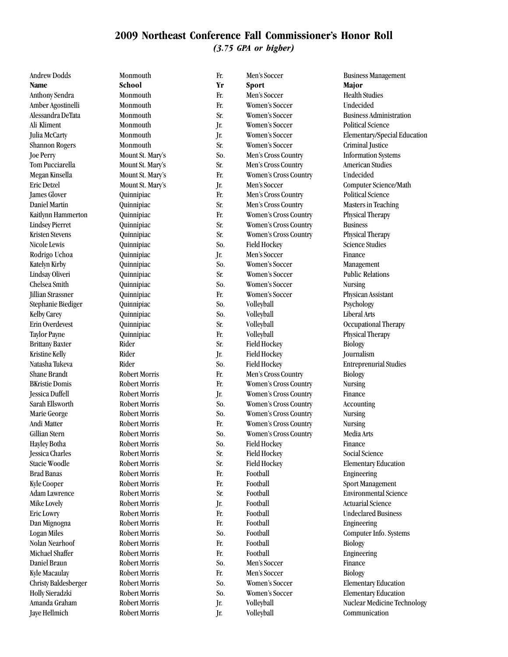Andrew Dodds Monmouth Fr. Men's Soccer Business Management **Name School Yr Sport Major** Anthony Sendra Monmouth Fr. Men's Soccer Health Studies Amber Agostinelli Monmouth Fr. Women's Soccer Undecided Alessandra DeTata Monmouth Sr. Women's Soccer Business Administration Ali Kliment Monmouth Jr. Women's Soccer Political Science Shannon Rogers Monmouth Sr. Women's Soccer Criminal Justice Joe Perry Mount St. Mary's So. Men's Cross Country Information Systems Tom Pucciarella Mount St. Mary's Sr. Men's Cross Country American Studies Megan Kinsella Mount St. Mary's Fr. Women's Cross Country Undecided Eric Detzel Mount St. Mary's Jr. Men's Soccer Computer Science/Math James Glover Quinnipiac Fr. Men's Cross Country Political Science Daniel Martin Quinnipiac Sr. Men's Cross Country Masters in Teaching Kaitlynn Hammerton Quinnipiac Fr. Women's Cross Country Physical Therapy Lindsey Pierret Quinnipiac Sr. Women's Cross Country Business Kristen Stevens **Cuinnipiac** Sr. Women's Cross Country Physical Therapy Nicole Lewis Quinnipiac So. Field Hockey Science Studies Rodrigo Uchoa Quinnipiac Jr. Men's Soccer Finance Katelyn Kirby **Quinnipiac** So. Women's Soccer Management Lindsay Oliveri Quinnipiac Sr. Women's Soccer Public Relations Chelsea Smith Quinnipiac So. Women's Soccer Nursing Jillian Strassner Quinnipiac Fr. Women's Soccer Physican Assistant Stephanie Biediger Quinnipiac So. Volleyball Psychology Kelby Carey Quinnipiac So. Volleyball Liberal Arts Erin Overdevest Quinnipiac Sr. Volleyball Occupational Therapy Taylor Payne **Cuinnipiac** Cuinnipiac Fr. Volleyball Physical Therapy Brittany Baxter Rider Sr. Field Hockey Biology Kristine Kelly Rider Jr. Field Hockey Journalism Natasha Tukeva Rider So. Field Hockey Entreprenurial Studies Shane Brandt Robert Morris Fr. Men's Cross Country Biology BKristie Domis Robert Morris Fr. Women's Cross Country Nursing Jessica Duffell Robert Morris Jr. Women's Cross Country Finance Sarah Ellsworth Robert Morris So. Women's Cross Country Accounting Marie George Robert Morris So. Women's Cross Country Nursing Andi Matter Robert Morris Fr. Women's Cross Country Nursing Gillian Stern Robert Morris So. Women's Cross Country Media Arts Hayley Botha Robert Morris So. Field Hockey Finance Jessica Charles Robert Morris Sr. Field Hockey Social Science Stacie Woodle Robert Morris Sr. Field Hockey Elementary Education Brad Banas Robert Morris Fr. Football Engineering Kyle Cooper **Robert Morris** Fr. Football Sport Management Adam Lawrence Robert Morris Sr. Football Environmental Science Mike Lovely Robert Morris Jr. Football Actuarial Science Eric Lowry Robert Morris Fr. Football Undeclared Business Dan Mignogna Robert Morris Fr. Football Engineering Logan Miles Robert Morris So. Football Computer Info. Systems Nolan Nearhoof Robert Morris Fr. Football Biology Michael Shaffer Robert Morris Fr. Football Engineering Daniel Braun Robert Morris So. Men's Soccer Finance Kyle Macaulay Robert Morris Fr. Men's Soccer Biology Christy Baldesberger Robert Morris So. Women's Soccer Elementary Education Holly Sieradzki Robert Morris So. Women's Soccer Elementary Education Jaye Hellmich Robert Morris Jr. Volleyball Communication

Julia McCarty Monmouth Jr. Women's Soccer Elementary/Special Education Amanda Graham **Robert Morris** Jr. Volleyball **Nuclear Medicine Technology Jr.** Volleyball Nuclear Medicine Technology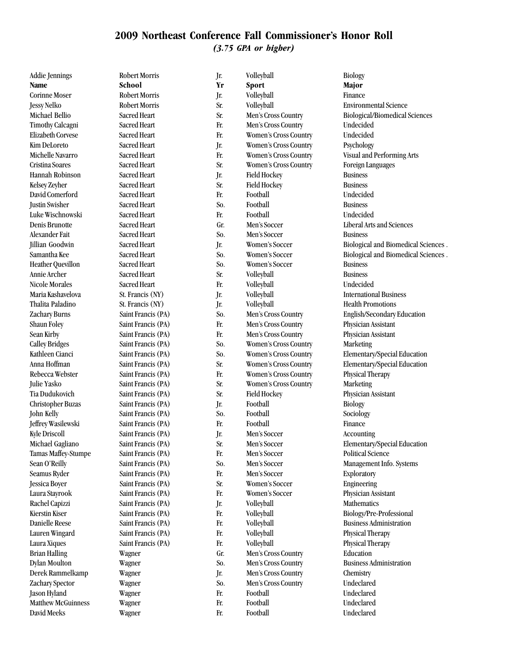Addie Jennings Robert Morris Jr. Volleyball Biology **Name School Yr Sport Major** Corinne Moser Robert Morris Jr. Volleyball Finance Jessy Nelko Robert Morris Sr. Volleyball Environmental Science Michael Bellio Sacred Heart Sr. Men's Cross Country Biological/Biomedical Sciences Timothy Calcagni Sacred Heart Fr. Men's Cross Country Undecided Elizabeth Corvese Sacred Heart Fr. Women's Cross Country Undecided Kim DeLoreto Sacred Heart Jr. Women's Cross Country Psychology Michelle Navarro Sacred Heart Fr. Women's Cross Country Visual and Performing Arts Cristina Soares Sacred Heart Sr. Women's Cross Country Foreign Languages Hannah Robinson Sacred Heart Jr. Field Hockey Business Kelsey Zeyher Sacred Heart Sr. Field Hockey Business David Comerford Sacred Heart Fr. Football Undecided Justin Swisher Sacred Heart So. Football Business Luke Wischnowski Sacred Heart Fr. Football Undecided Denis Brunotte Sacred Heart Gr. Men's Soccer Liberal Arts and Sciences Alexander Fait Sacred Heart So. Men's Soccer Business Jillian Goodwin Sacred Heart Jr. Women's Soccer Biological and Biomedical Sciences . Samantha Kee Sacred Heart So. Women's Soccer Biological and Biomedical Sciences . Heather Quevillon Sacred Heart So. Women's Soccer Business Annie Archer Sacred Heart Sr. Volleyball Business Nicole Morales Sacred Heart Fr. Volleyball Undecided Maria Kashavelova St. Francis (NY) Jr. Volleyball International Business Thalita Paladino St. Francis (NY) Jr. Volleyball Health Promotions Zachary Burns Saint Francis (PA) So. Men's Cross Country English/Secondary Education Shaun Foley Saint Francis (PA) Fr. Men's Cross Country Physician Assistant Sean Kirby Saint Francis (PA) Fr. Men's Cross Country Physician Assistant Calley Bridges Saint Francis (PA) So. Women's Cross Country Marketing Kathleen Cianci Saint Francis (PA) So. Women's Cross Country Elementary/Special Education Anna Hoffman Saint Francis (PA) Sr. Women's Cross Country Elementary/Special Education Rebecca Webster Saint Francis (PA) Fr. Women's Cross Country Physical Therapy Julie Yasko Saint Francis (PA) Sr. Women's Cross Country Marketing Tia Dudukovich Saint Francis (PA) Sr. Field Hockey Physician Assistant Christopher Buzas Saint Francis (PA) Jr. Football Biology John Kelly Saint Francis (PA) So. Football Sociology Jeffrey Wasilewski Saint Francis (PA) Fr. Football Finance Kyle Driscoll Saint Francis (PA) Jr. Men's Soccer Accounting Michael Gagliano Saint Francis (PA) Sr. Men's Soccer Elementary/Special Education Tamas Maffey-Stumpe Saint Francis (PA) Fr. Men's Soccer Political Science Sean O'Reilly Saint Francis (PA) So. Men's Soccer Management Info. Systems Seamus Ryder Saint Francis (PA) Fr. Men's Soccer Exploratory Jessica Boyer Saint Francis (PA) Sr. Women's Soccer Engineering Laura Stayrook Saint Francis (PA) Fr. Women's Soccer Physician Assistant Rachel Capizzi Saint Francis (PA) Jr. Volleyball Mathematics Kierstin Kiser Saint Francis (PA) Fr. Volleyball Biology/Pre-Professional Biology/Pre-Professional Danielle Reese Saint Francis (PA) Fr. Volleyball Business Administration Lauren Wingard Saint Francis (PA) Fr. Volleyball Physical Therapy Laura Xiques Saint Francis (PA) Fr. Volleyball Physical Therapy Brian Halling Wagner Gr. Men's Cross Country Education Dylan Moulton Wagner So. Men's Cross Country Business Administration Derek Rammelkamp Wagner Jr. Men's Cross Country Chemistry Zachary Spector Wagner So. Men's Cross Country Undeclared Jason Hyland Wagner Fr. Football Undeclared Matthew McGuinness Wagner Fr. Football Undeclared David Meeks Wagner Fr. Football Undeclared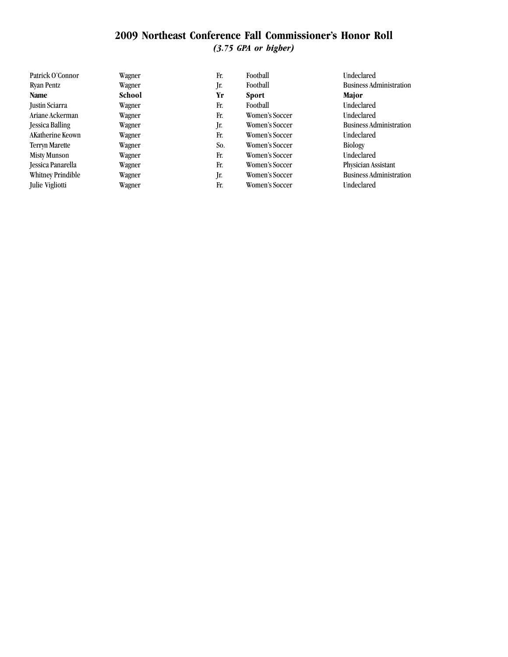| Patrick O'Connor      | Wagner | Fr. | Football       | Undeclared                     |
|-----------------------|--------|-----|----------------|--------------------------------|
| Ryan Pentz            | Wagner | Jr. | Football       | <b>Business Administration</b> |
| Name                  | School | Yr  | <b>Sport</b>   | Major                          |
| Justin Sciarra        | Wagner | Fr. | Football       | Undeclared                     |
| Ariane Ackerman       | Wagner | Fr. | Women's Soccer | Undeclared                     |
| Jessica Balling       | Wagner | Jr. | Women's Soccer | <b>Business Administration</b> |
| AKatherine Keown      | Wagner | Fr. | Women's Soccer | Undeclared                     |
| <b>Terryn Marette</b> | Wagner | So. | Women's Soccer | <b>Biology</b>                 |
| <b>Misty Munson</b>   | Wagner | Fr. | Women's Soccer | <b>Undeclared</b>              |
| Jessica Panarella     | Wagner | Fr. | Women's Soccer | Physician Assistant            |
| Whitney Prindible     | Wagner | Jr. | Women's Soccer | <b>Business Administration</b> |
| Julie Vigliotti       | Wagner | Fr. | Women's Soccer | <b>Undeclared</b>              |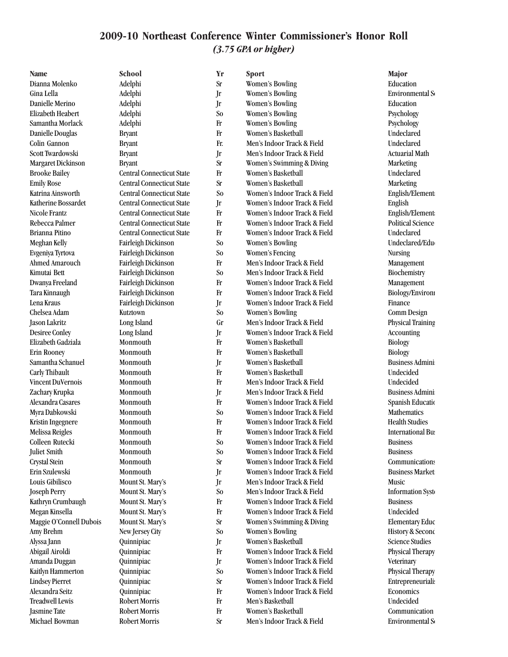Robert Morris Sr Men's Indoor Track & Field Environmental Science Science Assembly

**Name School Yr Sport Major** Dianna Molenko Adelphi Sr Women's Bowling Education Gina Lella Adelphi Jr Women's Bowling Environmental Science Danielle Merino Adelphi Jr Women's Bowling Education Elizabeth Heabert Adelphi So Women's Bowling Psychology Samantha Morlack Adelphi Fr Women's Bowling Psychology Danielle Douglas Bryant Fr Women's Basketball Undeclared Colin Gannon Bryant Fr. Men's Indoor Track & Field Undeclared Scott Twardowski Bryant Bryant Jr Men's Indoor Track & Field Actuarial Math Margaret Dickinson Bryant Bryant Sr Women's Swimming & Diving Marketing Brooke Bailey Central Connecticut State Fr Women's Basketball Undeclared Emily Rose Central Connecticut State Sr Women's Basketball Marketing Katrina Ainsworth Central Connecticut State So Women's Indoor Track & Field English/Element: Katherine Bossardet Central Connecticut State Jr Women's Indoor Track & Field English Nicole Frantz Central Connecticut State Fr Women's Indoor Track & Field English/Elementary English/Elementary Rebecca Palmer Central Connecticut State Fr Women's Indoor Track & Field Political Science Brianna Pitino Central Connecticut State Fr Women's Indoor Track & Field Undeclared Meghan Kelly Fairleigh Dickinson So Women's Bowling So Undeclared/Education Undeclared/Education Evgeniya Tyrtova Fairleigh Dickinson So Women's Fencing Nursing Ahmed Amarouch Fairleigh Dickinson Fr Men's Indoor Track & Field Management Kimutai Bett Fairleigh Dickinson So Men's Indoor Track & Field Biochemistry Dwanya Freeland Fairleigh Dickinson Fr Women's Indoor Track & Field Management Tara Kinnaugh Fairleigh Dickinson Fr Women's Indoor Track & Field Biology/Environmental Science Biology/Environmental Science Science Science Biology/Environmental Science Science Science Science Science Science Science Sc Lena Kraus Fairleigh Dickinson Jr Women's Indoor Track & Field Finance Chelsea Adam Kutztown So Women's Bowling Comm Design Jason Lakritz Long Island Gr Men's Indoor Track & Field Physical Training Desiree Conley Long Island Jr Women's Indoor Track & Field Accounting Elizabeth Gadziala Monmouth Fr Women's Basketball Biology Erin Rooney Monmouth Fr Women's Basketball Biology Samantha Schanuel Monmouth Jr Women's Basketball Business Administration of Basketball Business Administration Carly Thibault Monmouth Fr Women's Basketball Undecided Vincent DuVernois Monmouth Fr Men's Indoor Track & Field Undecided Zachary Krupka Monmouth Jr Men's Indoor Track & Field Business Administration of Business Administration of Mon Alexandra Casares Monmouth Fr Women's Indoor Track & Field Spanish Education Myra Dabkowski Monmouth So Women's Indoor Track & Field Mathematics Kristin Ingegnere Monmouth Fr Women's Indoor Track & Field Health Studies Melissa Reigles Monmouth Fr Women's Indoor Track & Field International Business Archives Archives Archives Archives Archives Archives Archives Archives Archives Archives Archives Archives Archives Archives Archives Archive Colleen Rutecki Monmouth So Women's Indoor Track & Field Business Juliet Smith Monmouth So Women's Indoor Track & Field Business Crystal Stein Monmouth Sr Women's Indoor Track & Field Communications Erin Szulewski Monmouth Jr Women's Indoor Track & Field Business Marketing Business Marketing and Business Marketing and Business Marketing and Business Marketing and Business Marketing and Business Marketing and Business Louis Gibilisco Mount St. Mary's Jr Men's Indoor Track & Field Music Joseph Perry Mount St. Mary's So Men's Indoor Track & Field Information Systems Kathryn Crumbaugh Mount St. Mary's Fr Women's Indoor Track & Field Business Megan Kinsella Mount St. Mary's Fr Women's Indoor Track & Field Undecided Maggie O'Connell Dubois Mount St. Mary's Sr Women's Swimming & Diving Elementary Educ Amy Brehm New Jersey City So Women's Bowling History & Secondary Reservation of the New Jersey City Alyssa Jann Quinnipiac Jr Women's Basketball Science Studies Abigail Airoldi Quinnipiac Fr Women's Indoor Track & Field Physical Therapy Amanda Duggan Quinnipiac Jr Women's Indoor Track & Field Veterinary Kaitlyn Hammerton Quinnipiac So Women's Indoor Track & Field Physical Therapy Lindsey Pierret **Quinnipiac** Sr Women's Indoor Track & Field Entrepreneurialism Alexandra Seitz Quinnipiac Fr Women's Indoor Track & Field Economics Treadwell Lewis Robert Morris Fr Men's Basketball Undecided  $\begin{array}{ccc}\n\text{Jasmine Tate} & \text{Robert Morris} \\
\text{Michael Bowman} & \text{Robert Morris} \\
\text{Robert Morris} & \text{Sr} & \text{Men's Indoor Track & Field} \\
\end{array} \qquad \begin{array}{ccc}\n\text{Commutation} \\
\text{Conmutation} \\
\end{array}$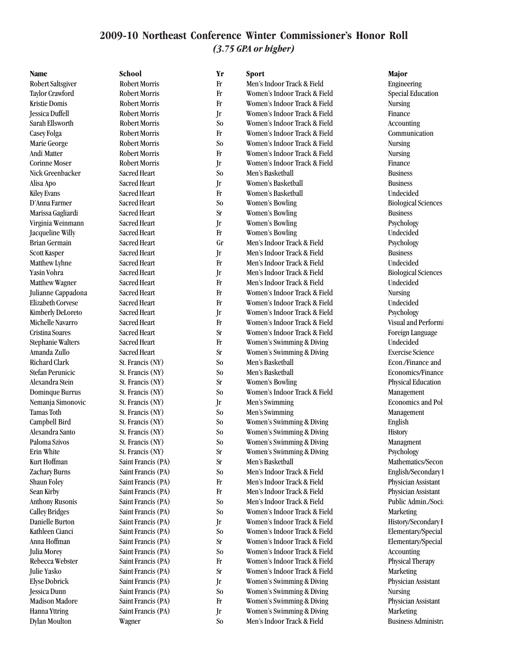**Name School Yr Sport Major** Robert Saltsgiver Robert Morris Fr Men's Indoor Track & Field Engineering Taylor Crawford Robert Morris Fr Women's Indoor Track & Field Special Education Kristie Domis Robert Morris Fr Women's Indoor Track & Field Nursing Jessica Duffell Robert Morris Jr Women's Indoor Track & Field Finance Sarah Ellsworth Robert Morris So Women's Indoor Track & Field Accounting Casey Folga Robert Morris Fr Women's Indoor Track & Field Communication Marie George Robert Morris So Women's Indoor Track & Field Nursing Andi Matter **Robert Morris** Fr Women's Indoor Track & Field Nursing Corinne Moser Robert Morris Jr Women's Indoor Track & Field Finance Nick Greenbacker Sacred Heart So Men's Basketball Business Alisa Apo Sacred Heart Jr Women's Basketball Business Kiley Evans Sacred Heart Fr Women's Basketball Undecided D'Anna Farmer Sacred Heart So Women's Bowling Biological Sciences Marissa Gagliardi Sacred Heart Sr Women's Bowling Business Virginia Weinmann Sacred Heart Jr Women's Bowling Psychology Jacqueline Willy Sacred Heart Fr Women's Bowling Undecided Brian Germain Sacred Heart Gr Men's Indoor Track & Field Psychology Scott Kasper Sacred Heart Jr Men's Indoor Track & Field Business Matthew Lyhne Sacred Heart Fr Men's Indoor Track & Field Undecided Yasin Vohra Sacred Heart Jr Men's Indoor Track & Field Biological Sciences Matthew Wagner Sacred Heart Fr Men's Indoor Track & Field Undecided Julianne Cappadona Sacred Heart Fr Women's Indoor Track & Field Nursing Elizabeth Corvese Sacred Heart Fr Women's Indoor Track & Field Undecided Kimberly DeLoreto Sacred Heart Jr Women's Indoor Track & Field Psychology Michelle Navarro Sacred Heart Fr Women's Indoor Track & Field Visual and Performi Cristina Soares Sacred Heart Sacred Heart Sr Women's Indoor Track & Field Foreign Language Stephanie Walters Sacred Heart Fr Women's Swimming & Diving Undecided Amanda Zullo Sacred Heart Sr Women's Swimming & Diving Exercise Science Richard Clark St. Francis (NY) So Men's Basketball St. Econ./Finance and Mgt. 2011 Stefan Perunicic St. Francis (NY) So Men's Basketball Economics/Finance Alexandra Stein St. Francis (NY) Sr Women's Bowling Physical Education Dominque Burrus St. Francis (NY) So Women's Indoor Track & Field Management Nemanja Simonovic St. Francis (NY) Jr Men's Swimming Biomonics and Political Science St. Francis (NY) Jr Men's Swimming Tamas Toth St. Francis (NY) So Men's Swimming Management Management Campbell Bird St. Francis (NY) So Women's Swimming & Diving English Alexandra Santo St. Francis (NY) So Women's Swimming & Diving History Paloma Szivos St. Francis (NY) So Women's Swimming & Diving Managment Erin White St. Francis (NY) Sr Women's Swimming & Diving Psychology Kurt Hoffman Saint Francis (PA) Sr Men's Basketball Saint Erancis (PA) Sr Men's Basketball Mathematics/Secon Zachary Burns Saint Francis (PA) So Men's Indoor Track & Field English/Secondary 1 Shaun Foley Saint Francis (PA) Francis Hen's Indoor Track & Field Physician Assistant Sean Kirby Saint Francis (PA) Francis Hen's Indoor Track & Field Physician Assistant Anthony Rusonis Saint Francis (PA) So Men's Indoor Track & Field Public Admin./Soci Calley Bridges Saint Francis (PA) So Women's Indoor Track & Field Marketing Danielle Burton Saint Francis (PA) Jr Women's Indoor Track & Field History/Secondary I Kathleen Cianci Saint Francis (PA) So Women's Indoor Track & Field Elementary/Special Elementary/Special Anna Hoffman Saint Francis (PA) Sr Women's Indoor Track & Field Elementary/Special Julia Morey Saint Francis (PA) So Women's Indoor Track & Field Accounting Rebecca Webster Saint Francis (PA) Fr Women's Indoor Track & Field Physical Therapy Julie Yasko Saint Francis (PA) Sr Women's Indoor Track & Field Marketing Elyse Dobrick Saint Francis (PA) Jr Women's Swimming & Diving Physician Assistant Jessica Dunn Saint Francis (PA) So Women's Swimming & Diving Nursing Madison Madore Saint Francis (PA) Fr Women's Swimming & Diving Physician Assistant Hanna Yttring Saint Francis (PA) Jr Women's Swimming & Diving Marketing Dylan Moulton Wagner So Men's Indoor Track & Field Business Administration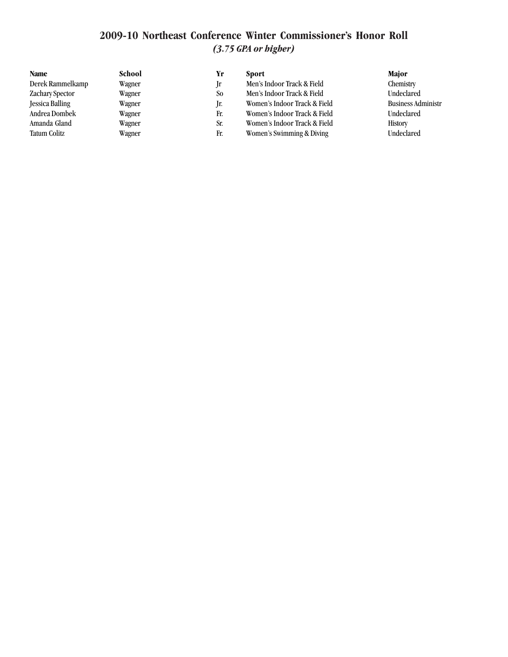| Name                   | School | Yr             | Sport                        | <b>Major</b>              |
|------------------------|--------|----------------|------------------------------|---------------------------|
| Derek Rammelkamp       | Wagner | -lr            | Men's Indoor Track & Field   | Chemistry                 |
| Zachary Spector        | Wagner | S <sub>o</sub> | Men's Indoor Track & Field   | Undeclared                |
| <b>Jessica Balling</b> | Wagner | Ir.            | Women's Indoor Track & Field | <b>Business Administr</b> |
| Andrea Dombek          | Wagner | Fr.            | Women's Indoor Track & Field | Undeclared                |
| Amanda Gland           | Wagner | Sr.            | Women's Indoor Track & Field | <b>History</b>            |
| <b>Tatum Colitz</b>    | Wagner | Fr.            | Women's Swimming & Diving    | Undeclared                |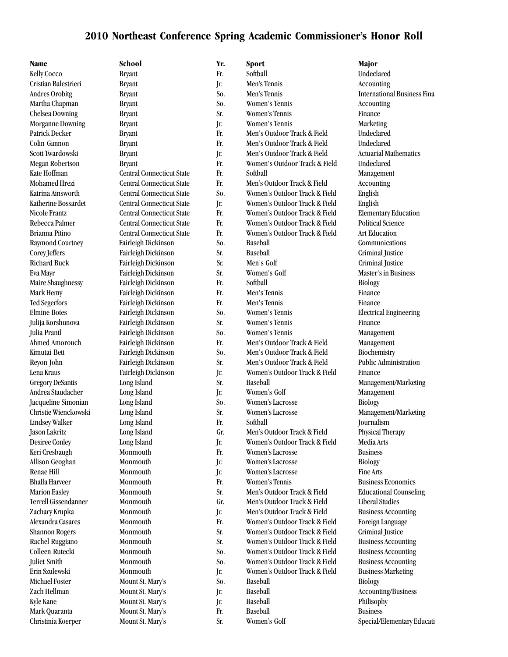**Name School Yr. Sport Major** Kelly Cocco Bryant Fr. Softball Undeclared Cristian Balestrieri Bryant Jr. Men's Tennis Accounting Andres Orobitg **Bryant** Bryant So. Men's Tennis International Business Finances Orobitg Martha Chapman Bryant So. Women's Tennis Accounting Chelsea Downing Bryant Bryant Sr. Women's Tennis Finance Morganne Downing Bryant Jr. Women's Tennis Marketing Patrick Decker Bryant Bryant Fr. Men's Outdoor Track & Field Undeclared Colin Gannon Bryant Fr. Men's Outdoor Track & Field Undeclared Scott Twardowski Bryant Bryant Jr. Men's Outdoor Track & Field Actuarial Mathematics Megan Robertson Bryant Fr. Women's Outdoor Track & Field Undeclared Kate Hoffman Central Connecticut State Fr. Softball State Management Mohamed Hrezi Central Connecticut State Fr. Men's Outdoor Track & Field Accounting Katrina Ainsworth Central Connecticut State So. Women's Outdoor Track & Field English Katherine Bossardet Central Connecticut State Jr. Women's Outdoor Track & Field English Nicole Frantz Central Connecticut State Fr. Women's Outdoor Track & Field Elementary Education Rebecca Palmer Central Connecticut State Fr. Women's Outdoor Track & Field Political Science Brianna Pitino Central Connecticut State Fr. Women's Outdoor Track & Field Art Education Raymond Courtney Fairleigh Dickinson So. Baseball So. Communications Corey Jeffers Fairleigh Dickinson Sr. Baseball Criminal Justice Richard Buck Fairleigh Dickinson Sr. Men's Golf Criminal Justice Eva Mayr Fairleigh Dickinson Sr. Women's Golf Master's in Business Maire Shaughnessy Fairleigh Dickinson Fr. Softball Biology Mark Hemy Fairleigh Dickinson Fr. Men's Tennis Finance Ted Segerfors Fairleigh Dickinson Fr. Men's Tennis Finance Elmine Botes Fairleigh Dickinson So. Women's Tennis Electrical Engineering Julija Korshunova Fairleigh Dickinson Sr. Women's Tennis Finance Julia Prantl Fairleigh Dickinson So. Women's Tennis Management Ahmed Amorouch Fairleigh Dickinson Fr. Men's Outdoor Track & Field Management Kimutai Bett Fairleigh Dickinson So. Men's Outdoor Track & Field Biochemistry Reyon John Fairleigh Dickinson Sr. Men's Outdoor Track & Field Public Administration Lena Kraus Fairleigh Dickinson Jr. Women's Outdoor Track & Field Finance Gregory DeSantis Long Island Sr. Baseball Management/Marketing Andrea Staudacher Long Island Jr. Women's Golf Management Jacqueline Simonian Long Island So. Women's Lacrosse Biology Christie Wienckowski Long Island Sr. Women's Lacrosse Management/Marketing Lindsey Walker Long Island Fr. Softball Journalism Jason Lakritz Long Island Gr. Men's Outdoor Track & Field Physical Therapy Desiree Conley Long Island Jr. Women's Outdoor Track & Field Media Arts Keri Cresbaugh Monmouth Fr. Women's Lacrosse Business Allison Geoghan Monmouth Jr. Women's Lacrosse Biology Renae Hill **Monmouth** Jr. Women's Lacrosse Fine Arts Bhalla Harveer Monmouth Fr. Women's Tennis Business Economics Marion Easley Monmouth Sr. Men's Outdoor Track & Field Educational Counseling Terrell Gissendanner Monmouth Gr. Men's Outdoor Track & Field Liberal Studies Zachary Krupka Monmouth Jr. Men's Outdoor Track & Field Business Accounting Alexandra Casares Monmouth Fr. Women's Outdoor Track & Field Foreign Language Shannon Rogers Monmouth Sr. Women's Outdoor Track & Field Criminal Justice Rachel Ruggiano Monmouth Sr. Women's Outdoor Track & Field Business Accounting Colleen Rutecki Monmouth So. Women's Outdoor Track & Field Business Accounting Juliet Smith Monmouth So. Women's Outdoor Track & Field Business Accounting Erin Szulewski Monmouth Jr. Women's Outdoor Track & Field Business Marketing Michael Foster Mount St. Mary's So. Baseball Siology Biology Zach Hellman Mount St. Mary's Jr. Baseball Accounting/Business Kyle Kane Mount St. Mary's Jr. Baseball Philisophy Mark Quaranta **Mount St. Mary's** Fr. Baseball Business Business Christinia Koerper Mount St. Mary's Sr. Women's Golf Special/Elementary Education Special/Elementary Education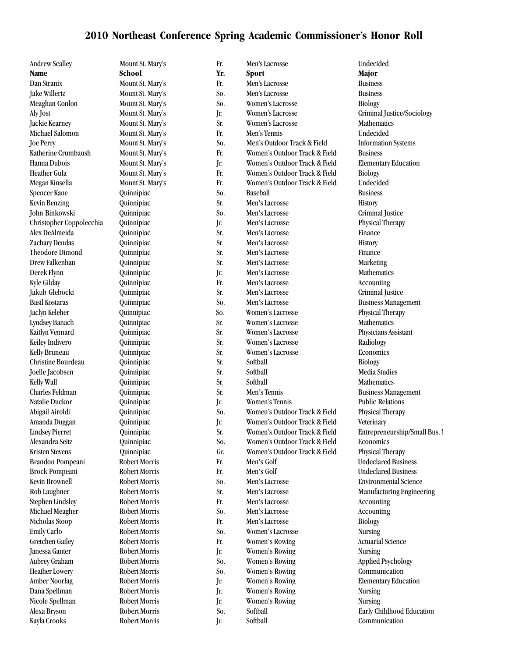| <b>Andrew Scalley</b>    | Mount St. Mary's     | Fr. | Men's Lacrosse                | Undecided                     |
|--------------------------|----------------------|-----|-------------------------------|-------------------------------|
| <b>Name</b>              | School               | Yr. | Sport                         | Major                         |
| Dan Stranix              | Mount St. Mary's     | Fr. | Men's Lacrosse                | <b>Business</b>               |
| Jake Willertz            | Mount St. Mary's     | So. | Men's Lacrosse                | <b>Business</b>               |
| Meaghan Conlon           | Mount St. Mary's     | So. | <b>Women's Lacrosse</b>       | Biology                       |
| Aly Jost                 | Mount St. Mary's     | Jr. | Women's Lacrosse              | Criminal Justice/Sociology    |
| Jackie Kearney           | Mount St. Mary's     | Sr. | Women's Lacrosse              | Mathematics                   |
| Michael Salomon          | Mount St. Mary's     | Fr. | Men's Tennis                  | Undecided                     |
| <b>Joe Perry</b>         | Mount St. Mary's     | So. | Men's Outdoor Track & Field   | <b>Information Systems</b>    |
| Katherine Crumbaush      | Mount St. Mary's     | Fr. | Women's Outdoor Track & Field | <b>Business</b>               |
| Hanna Dubois             | Mount St. Mary's     | Jr. | Women's Outdoor Track & Field | <b>Elementary Education</b>   |
| Heather Gula             | Mount St. Mary's     | Fr. | Women's Outdoor Track & Field | <b>Biology</b>                |
| Megan Kinsella           | Mount St. Mary's     | Fr. | Women's Outdoor Track & Field | Undecided                     |
| Spencer Kane             | Quinnipiac           | So. | Baseball                      | <b>Business</b>               |
| <b>Kevin Benzing</b>     | Quinnipiac           | Sr. | Men's Lacrosse                | History                       |
| John Binkowski           | Quinnipiac           | So. | Men's Lacrosse                | Criminal Justice              |
| Christopher Coppolecchia | Quinnipiac           | Jr. | Men's Lacrosse                | Physical Therapy              |
| Alex DeAlmeida           | Quinnipiac           | Sr. | Men's Lacrosse                | Finance                       |
| Zachary Dendas           | Quinnipiac           | Sr. | Men's Lacrosse                |                               |
| <b>Theodore Dimond</b>   |                      |     |                               | History<br>Finance            |
|                          | Quinnipiac           | Sr. | Men's Lacrosse                |                               |
| Drew Falkenhan           | Quinnipiac           | Sr. | Men's Lacrosse                | Marketing                     |
| Derek Flynn              | Quinnipiac           | Jr. | Men's Lacrosse                | Mathematics                   |
| Kyle Gilday              | Quinnipiac           | Fr. | Men's Lacrosse                | Accounting                    |
| Jakub Glebocki           | Quinnipiac           | Sr. | Men's Lacrosse                | Criminal Justice              |
| <b>Basil Kostaras</b>    | Quinnipiac           | So. | Men's Lacrosse                | <b>Business Management</b>    |
| Jaclyn Keleher           | Quinnipiac           | So. | Women's Lacrosse              | Physical Therapy              |
| Lyndsey Banach           | Quinnipiac           | Sr. | Women's Lacrosse              | Mathematics                   |
| Kaitlyn Vennard          | Quinnipiac           | Sr. | Women's Lacrosse              | Physicians Assistant          |
| Keiley Indivero          | Quinnipiac           | Sr. | Women's Lacrosse              | Radiology                     |
| Kelly Bruneau            | Quinnipiac           | Sr. | Women's Lacrosse              | Economics                     |
| Christine Bourdeau       | Quinnipiac           | Sr. | Softball                      | <b>Biology</b>                |
| Joelle Jacobsen          | Quinnipiac           | Sr. | Softball                      | Media Studies                 |
| Kelly Wall               | Quinnipiac           | Sr. | Softball                      | Mathematics                   |
| Charles Feldman          | Quinnipiac           | Sr. | Men's Tennis                  | <b>Business Management</b>    |
| Natalie Duckor           | Quinnipiac           | Jr. | Women's Tennis                | <b>Public Relations</b>       |
| Abigail Airoldi          | Quinnipiac           | So. | Women's Outdoor Track & Field | Physical Therapy              |
| Amanda Duggan            | Quinnipiac           | Jr. | Women's Outdoor Track & Field | Veterinary                    |
| <b>Lindsey Pierret</b>   | Quinnipiac           | Sr. | Women's Outdoor Track & Field | Entrepreneurship/Small Bus. 1 |
| Alexandra Seitz          | Quinnipiac           | So. | Women's Outdoor Track & Field | Economics                     |
| <b>Kristen Stevens</b>   | Quinnipiac           | Gr. | Women's Outdoor Track & Field | Physical Therapy              |
| Brandon Pompeani         | <b>Robert Morris</b> | Fr. | Men's Golf                    | <b>Undeclared Business</b>    |
| <b>Brock Pompeani</b>    | Robert Morris        | Fr. | Men's Golf                    | <b>Undeclared Business</b>    |
| Kevin Brownell           | <b>Robert Morris</b> | So. | Men's Lacrosse                | <b>Environmental Science</b>  |
| Rob Laughner             | Robert Morris        | Sr. | Men's Lacrosse                | Manufacturing Engineering     |
| <b>Stephen Lindsley</b>  | Robert Morris        | Fr. | Men's Lacrosse                | Accounting                    |
| Michael Meagher          | <b>Robert Morris</b> | So. | Men's Lacrosse                | Accounting                    |
| Nicholas Stoop           | Robert Morris        | Fr. | Men's Lacrosse                | <b>Biology</b>                |
| Emily Carlo              | Robert Morris        | So. | Women's Lacrosse              | <b>Nursing</b>                |
| <b>Gretchen Gailey</b>   | Robert Morris        | Fr. | <b>Women's Rowing</b>         | <b>Actuarial Science</b>      |
| Janessa Ganter           | Robert Morris        | Jr. | <b>Women's Rowing</b>         | <b>Nursing</b>                |
|                          | Robert Morris        |     |                               |                               |
| Aubrey Graham            |                      | So. | Women's Rowing                | <b>Applied Psychology</b>     |
| <b>Heather Lowery</b>    | <b>Robert Morris</b> | So. | <b>Women's Rowing</b>         | Communication                 |
| Amber Noorlag            | Robert Morris        | Jr. | <b>Women's Rowing</b>         | <b>Elementary Education</b>   |
| Dana Spellman            | Robert Morris        | Jr. | <b>Women's Rowing</b>         | <b>Nursing</b>                |
| Nicole Spellman          | Robert Morris        | Jr. | <b>Women's Rowing</b>         | <b>Nursing</b>                |
| Alexa Bryson             | <b>Robert Morris</b> | So. | Softball                      | Early Childhood Education     |
| Kayla Crooks             | Robert Morris        | Jr. | Softball                      | Communication                 |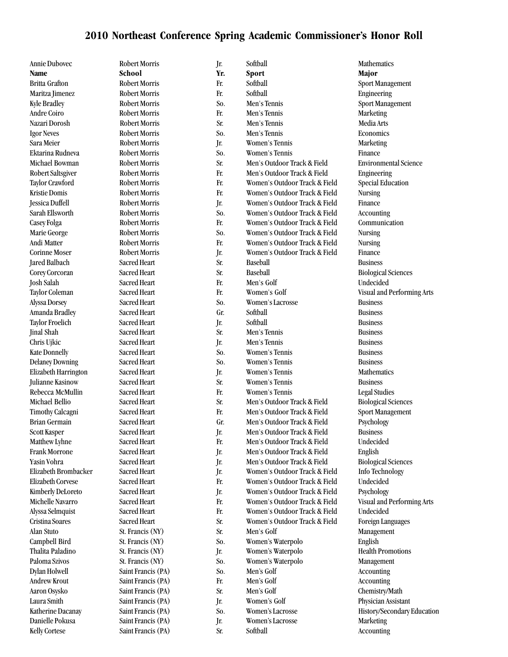| <b>Annie Dubovec</b>                     | <b>Robert Morris</b> | Jr.        | Softball                      | <b>Mathematics</b>                                    |
|------------------------------------------|----------------------|------------|-------------------------------|-------------------------------------------------------|
| Name                                     | School               | Yr.        | Sport                         | Major                                                 |
| <b>Britta Grafton</b>                    | <b>Robert Morris</b> | Fr.        | Softball                      | Sport Management                                      |
| Maritza Jimenez                          | <b>Robert Morris</b> | Fr.        | Softball                      | Engineering                                           |
| <b>Kyle Bradley</b>                      | <b>Robert Morris</b> | So.        | Men's Tennis                  | Sport Management                                      |
| Andre Coiro                              | <b>Robert Morris</b> | Fr.        | Men's Tennis                  | Marketing                                             |
| Nazari Dorosh                            | <b>Robert Morris</b> | Sr.        | Men's Tennis                  | Media Arts                                            |
| <b>Igor Neves</b>                        | <b>Robert Morris</b> | So.        | Men's Tennis                  | Economics                                             |
| Sara Meier                               | Robert Morris        | Jr.        | Women's Tennis                | Marketing                                             |
| Ektarina Rudneva                         | <b>Robert Morris</b> | So.        | Women's Tennis                | Finance                                               |
| Michael Bowman                           | <b>Robert Morris</b> | Sr.        | Men's Outdoor Track & Field   | <b>Environmental Science</b>                          |
| Robert Saltsgiver                        | Robert Morris        | Fr.        | Men's Outdoor Track & Field   | Engineering                                           |
| Taylor Crawford                          | <b>Robert Morris</b> | Fr.        | Women's Outdoor Track & Field | <b>Special Education</b>                              |
| Kristie Domis                            | Robert Morris        | Fr.        | Women's Outdoor Track & Field | <b>Nursing</b>                                        |
| Jessica Duffell                          | Robert Morris        | Jr.        | Women's Outdoor Track & Field | Finance                                               |
| Sarah Ellsworth                          | <b>Robert Morris</b> | So.        | Women's Outdoor Track & Field | Accounting                                            |
| Casey Folga                              | <b>Robert Morris</b> | Fr.        | Women's Outdoor Track & Field | Communication                                         |
| Marie George                             | <b>Robert Morris</b> | So.        | Women's Outdoor Track & Field | <b>Nursing</b>                                        |
| Andi Matter                              | <b>Robert Morris</b> | Fr.        | Women's Outdoor Track & Field | <b>Nursing</b>                                        |
| <b>Corinne Moser</b>                     | <b>Robert Morris</b> | Jr.        | Women's Outdoor Track & Field | Finance                                               |
| <b>Jared Balbach</b>                     | <b>Sacred Heart</b>  | Sr.        | Baseball                      | <b>Business</b>                                       |
| Corey Corcoran                           | Sacred Heart         | Sr.        | Baseball                      | <b>Biological Sciences</b>                            |
| <b>Josh Salah</b>                        | <b>Sacred Heart</b>  | Fr.        | Men's Golf                    | Undecided                                             |
| Taylor Coleman                           | <b>Sacred Heart</b>  | Fr.        | Women's Golf                  | Visual and Performing Arts                            |
| Alyssa Dorsey                            | Sacred Heart         | So.        | Women's Lacrosse              | <b>Business</b>                                       |
| Amanda Bradley                           | Sacred Heart         | Gr.        | Softball                      | <b>Business</b>                                       |
| <b>Taylor Froelich</b>                   | <b>Sacred Heart</b>  | Jr.        | Softball                      | <b>Business</b>                                       |
| Jinal Shah                               | <b>Sacred Heart</b>  | Sr.        | Men's Tennis                  | <b>Business</b>                                       |
| Chris Ujkic                              | <b>Sacred Heart</b>  | Jr.        | Men's Tennis                  | <b>Business</b>                                       |
| <b>Kate Donnelly</b>                     | <b>Sacred Heart</b>  | So.        | Women's Tennis                | <b>Business</b>                                       |
| <b>Delaney Downing</b>                   | Sacred Heart         | So.        | Women's Tennis                | <b>Business</b>                                       |
| Elizabeth Harrington                     | Sacred Heart         |            | Women's Tennis                | Mathematics                                           |
| <b>Julianne Kasinow</b>                  | Sacred Heart         | Jr.<br>Sr. | Women's Tennis                | <b>Business</b>                                       |
| Rebecca McMullin                         | Sacred Heart         | Fr.        | Women's Tennis                | <b>Legal Studies</b>                                  |
| Michael Bellio                           | <b>Sacred Heart</b>  | Sr.        | Men's Outdoor Track & Field   |                                                       |
|                                          | <b>Sacred Heart</b>  | Fr.        | Men's Outdoor Track & Field   | <b>Biological Sciences</b><br><b>Sport Management</b> |
| Timothy Calcagni<br><b>Brian Germain</b> | <b>Sacred Heart</b>  | Gr.        | Men's Outdoor Track & Field   |                                                       |
| <b>Scott Kasper</b>                      | Sacred Heart         |            | Men's Outdoor Track & Field   | Psychology<br><b>Business</b>                         |
|                                          |                      | Jr.        |                               |                                                       |
| Matthew Lyhne                            | Sacred Heart         | Fr.        | Men's Outdoor Track & Field   | Undecided                                             |
| Frank Morrone                            | Sacred Heart         | Jr.        | Men's Outdoor Track & Field   | English                                               |
| Yasin Vohra                              | <b>Sacred Heart</b>  | Jr.        | Men's Outdoor Track & Field   | <b>Biological Sciences</b>                            |
| Elizabeth Brombacker                     | Sacred Heart         | Jr.        | Women's Outdoor Track & Field | Info Technology                                       |
| <b>Elizabeth Corvese</b>                 | Sacred Heart         | Fr.        | Women's Outdoor Track & Field | Undecided                                             |
| Kimberly DeLoreto                        | Sacred Heart         | Jr.        | Women's Outdoor Track & Field | Psychology                                            |
| Michelle Navarro                         | <b>Sacred Heart</b>  | Fr.        | Women's Outdoor Track & Field | <b>Visual and Performing Arts</b>                     |
| Alyssa Selmquist                         | <b>Sacred Heart</b>  | Fr.        | Women's Outdoor Track & Field | Undecided                                             |
| Cristina Soares                          | Sacred Heart         | Sr.        | Women's Outdoor Track & Field | <b>Foreign Languages</b>                              |
| Alan Stuto                               | St. Francis (NY)     | Sr.        | Men's Golf                    | Management                                            |
| Campbell Bird                            | St. Francis (NY)     | So.        | Women's Waterpolo             | English                                               |
| Thalita Paladino                         | St. Francis (NY)     | Jr.        | Women's Waterpolo             | <b>Health Promotions</b>                              |
| Paloma Szivos                            | St. Francis (NY)     | So.        | Women's Waterpolo             | Management                                            |
| Dylan Holwell                            | Saint Francis (PA)   | So.        | Men's Golf                    | Accounting                                            |
| Andrew Krout                             | Saint Francis (PA)   | Fr.        | Men's Golf                    | Accounting                                            |
| Aaron Osysko                             | Saint Francis (PA)   | Sr.        | Men's Golf                    | Chemistry/Math                                        |
| Laura Smith                              | Saint Francis (PA)   | Jr.        | Women's Golf                  | Physician Assistant                                   |
| Katherine Dacanay                        | Saint Francis (PA)   | So.        | Women's Lacrosse              | History/Secondary Education                           |
| Danielle Pokusa                          | Saint Francis (PA)   | Jr.        | Women's Lacrosse              | Marketing                                             |
| <b>Kelly Cortese</b>                     | Saint Francis (PA)   | Sr.        | Softball                      | Accounting                                            |